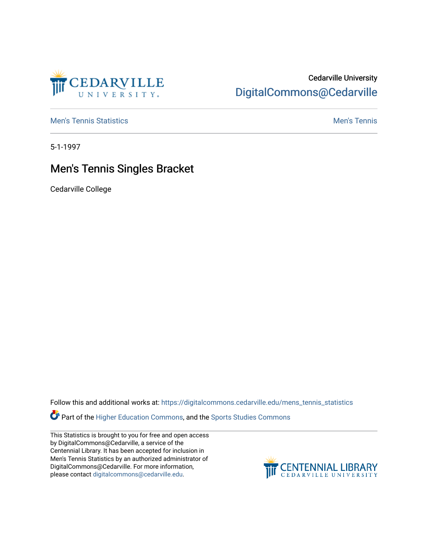

## Cedarville University [DigitalCommons@Cedarville](https://digitalcommons.cedarville.edu/)

**[Men's Tennis Statistics](https://digitalcommons.cedarville.edu/mens_tennis_statistics) Mental According to the Control of Control According Mental Men's Tennis** 

5-1-1997

## Men's Tennis Singles Bracket

Cedarville College

Follow this and additional works at: [https://digitalcommons.cedarville.edu/mens\\_tennis\\_statistics](https://digitalcommons.cedarville.edu/mens_tennis_statistics?utm_source=digitalcommons.cedarville.edu%2Fmens_tennis_statistics%2F381&utm_medium=PDF&utm_campaign=PDFCoverPages)

**Part of the [Higher Education Commons,](http://network.bepress.com/hgg/discipline/1245?utm_source=digitalcommons.cedarville.edu%2Fmens_tennis_statistics%2F381&utm_medium=PDF&utm_campaign=PDFCoverPages) and the Sports Studies Commons** 

This Statistics is brought to you for free and open access by DigitalCommons@Cedarville, a service of the Centennial Library. It has been accepted for inclusion in Men's Tennis Statistics by an authorized administrator of DigitalCommons@Cedarville. For more information, please contact [digitalcommons@cedarville.edu](mailto:digitalcommons@cedarville.edu).